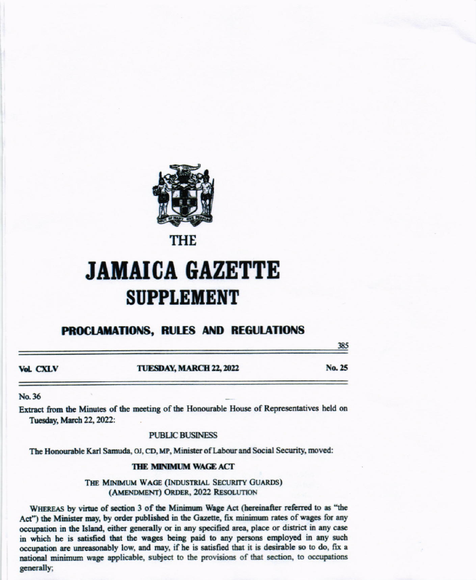

THE

# **JAMAICA GAZETTE SUPPLEMENT**

# **PROCLAMATIONS, RULES AND REGULATIONS**

385

No. 25 **Vol. CXLV** TUESDAY, MARCH 22, 2022

#### No. 36

Extract from the Minutes of the meeting of the Honourable House of Representatives held on Tuesday, March 22, 2022:

**PUBLIC BUSINESS** 

The Honourable Karl Samuda, OJ, CD, MP, Minister of Labour and Social Security, moved:

#### THE MINIMUM WAGE ACT

THE MINIMUM WAGE (INDUSTRIAL SECURITY GUARDS) (AMENDMENT) ORDER, 2022 RESOLUTION

WHEREAS by virtue of section 3 of the Minimum Wage Act (hereinafter referred to as "the Act") the Minister may, by order published in the Gazette, fix minimum rates of wages for any occupation in the Island, either generally or in any specified area, place or district in any case in which he is satisfied that the wages being paid to any persons employed in any such occupation are unreasonably low, and may, if he is satisfied that it is desirable so to do, fix a national minimum wage applicable, subject to the provisions of that section, to occupations generally: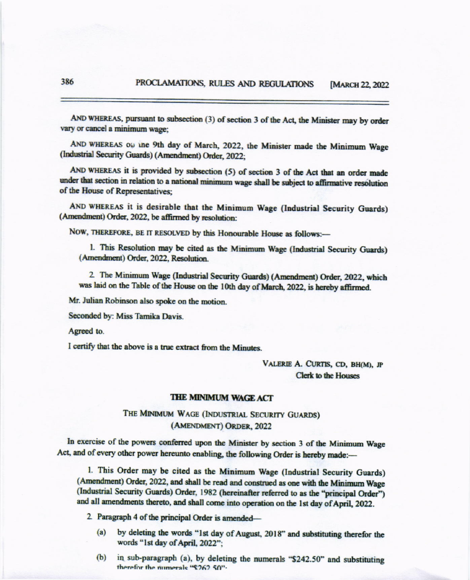AND WHEREAS, pursuant to subsection (3) of section 3 of the Act, the Minister may by order vary or cancel a minimum wage:

AND WHEREAS ou ine 9th day of March, 2022, the Minister made the Minimum Wage (Industrial Security Guards) (Amendment) Order, 2022;

AND WHEREAS it is provided by subsection (5) of section 3 of the Act that an order made under that section in relation to a national minimum wage shall be subject to affirmative resolution of the House of Representatives:

AND WHEREAS it is desirable that the Minimum Wage (Industrial Security Guards) (Amendment) Order, 2022, be affirmed by resolution:

NOW, THEREFORE, BE IT RESOLVED by this Honourable House as follows:-

1. This Resolution may be cited as the Minimum Wage (Industrial Security Guards) (Amendment) Order, 2022, Resolution.

2. The Minimum Wage (Industrial Security Guards) (Amendment) Order, 2022, which was laid on the Table of the House on the 10th day of March, 2022, is hereby affirmed.

Mr. Julian Robinson also spoke on the motion.

Seconded by: Miss Tamika Davis.

Agreed to.

I certify that the above is a true extract from the Minutes.

VALERIE A. CURTIS, CD, BH(M), JP **Clerk to the Houses** 

#### **THE MINIMUM WAGE ACT**

# THE MINIMUM WAGE (INDUSTRIAL SECURITY GUARDS) (AMENDMENT) ORDER, 2022

In exercise of the powers conferred upon the Minister by section 3 of the Minimum Wage Act, and of every other power hereunto enabling, the following Order is hereby made:-

1. This Order may be cited as the Minimum Wage (Industrial Security Guards) (Amendment) Order, 2022, and shall be read and construed as one with the Minimum Wage (Industrial Security Guards) Order, 1982 (hereinafter referred to as the "principal Order") and all amendments thereto, and shall come into operation on the 1st day of April, 2022.

2. Paragraph 4 of the principal Order is amended-

- $(a)$ by deleting the words "1st day of August, 2018" and substituting therefor the words "1st day of April, 2022";
- in sub-paragraph (a), by deleting the numerals "\$242.50" and substituting  $(b)$ therefor the numerals "\$262.50".

386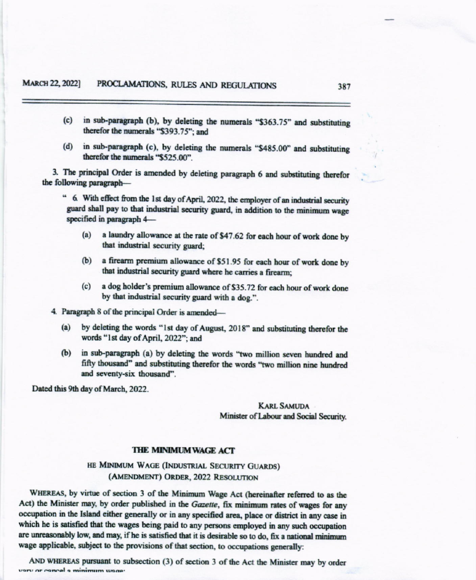- (c) in sub-paragraph (b), by deleting the numerals "\$363.75" and substituting therefor the numerals "\$393.75": and
- (d) in sub-paragraph (c), by deleting the numerals "\$485.00" and substituting therefor the numerals "\$525.00"

3. The principal Order is amended by deleting paragraph 6 and substituting therefor the following paragraph-

" 6. With effect from the 1st day of April, 2022, the employer of an industrial security guard shall pay to that industrial security guard, in addition to the minimum wage specified in paragraph 4-

- $(a)$ a laundry allowance at the rate of \$47.62 for each hour of work done by that industrial security guard;
- a firearm premium allowance of \$51.95 for each hour of work done by  $(b)$ that industrial security guard where he carries a firearm;
- (c) a dog holder's premium allowance of \$35.72 for each hour of work done by that industrial security guard with a dog.".

4. Paragraph 8 of the principal Order is amended-

- by deleting the words "1st day of August, 2018" and substituting therefor the  $(a)$ words "1st day of April, 2022": and
- in sub-paragraph (a) by deleting the words "two million seven hundred and  $(b)$ fifty thousand" and substituting therefor the words "two million nine hundred and seventy-six thousand".

Dated this 9th day of March, 2022.

## **KARL SAMUDA** Minister of Labour and Social Security.

## THE MINIMUM WAGE ACT

HE MINIMUM WAGE (INDUSTRIAL SECURITY GUARDS) (AMENDMENT) ORDER, 2022 RESOLUTION

WHEREAS, by virtue of section 3 of the Minimum Wage Act (hereinafter referred to as the Act) the Minister may, by order published in the Gazette, fix minimum rates of wages for any occupation in the Island either generally or in any specified area, place or district in any case in which he is satisfied that the wages being paid to any persons employed in any such occupation are unreasonably low, and may, if he is satisfied that it is desirable so to do, fix a national minimum wage applicable, subject to the provisions of that section, to occupations generally:

AND WHEREAS pursuant to subsection (3) of section 3 of the Act the Minister may by order very or cancel a minimum wege-